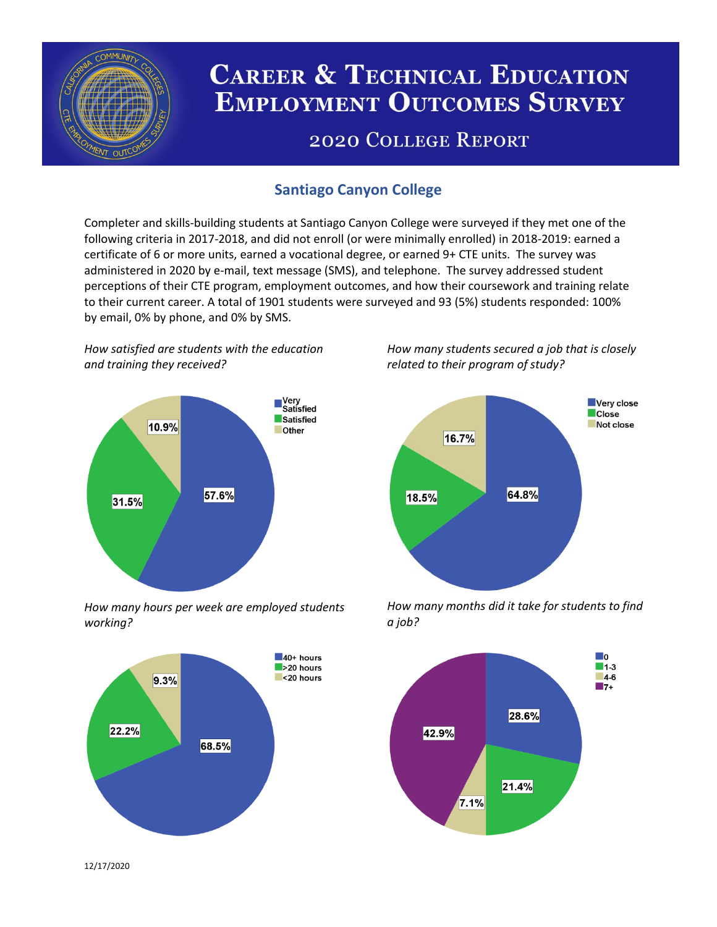

# **CAREER & TECHNICAL EDUCATION EMPLOYMENT OUTCOMES SURVEY**

## **2020 COLLEGE REPORT**

## **Santiago Canyon College**

Completer and skills-building students at Santiago Canyon College were surveyed if they met one of the following criteria in 2017-2018, and did not enroll (or were minimally enrolled) in 2018-2019: earned a certificate of 6 or more units, earned a vocational degree, or earned 9+ CTE units. The survey was administered in 2020 by e-mail, text message (SMS), and telephone. The survey addressed student perceptions of their CTE program, employment outcomes, and how their coursework and training relate to their current career. A total of 1901 students were surveyed and 93 (5%) students responded: 100% by email, 0% by phone, and 0% by SMS.

*How satisfied are students with the education and training they received?*



*How many hours per week are employed students working?*



*How many students secured a job that is closely related to their program of study?*



*How many months did it take for students to find a job?*